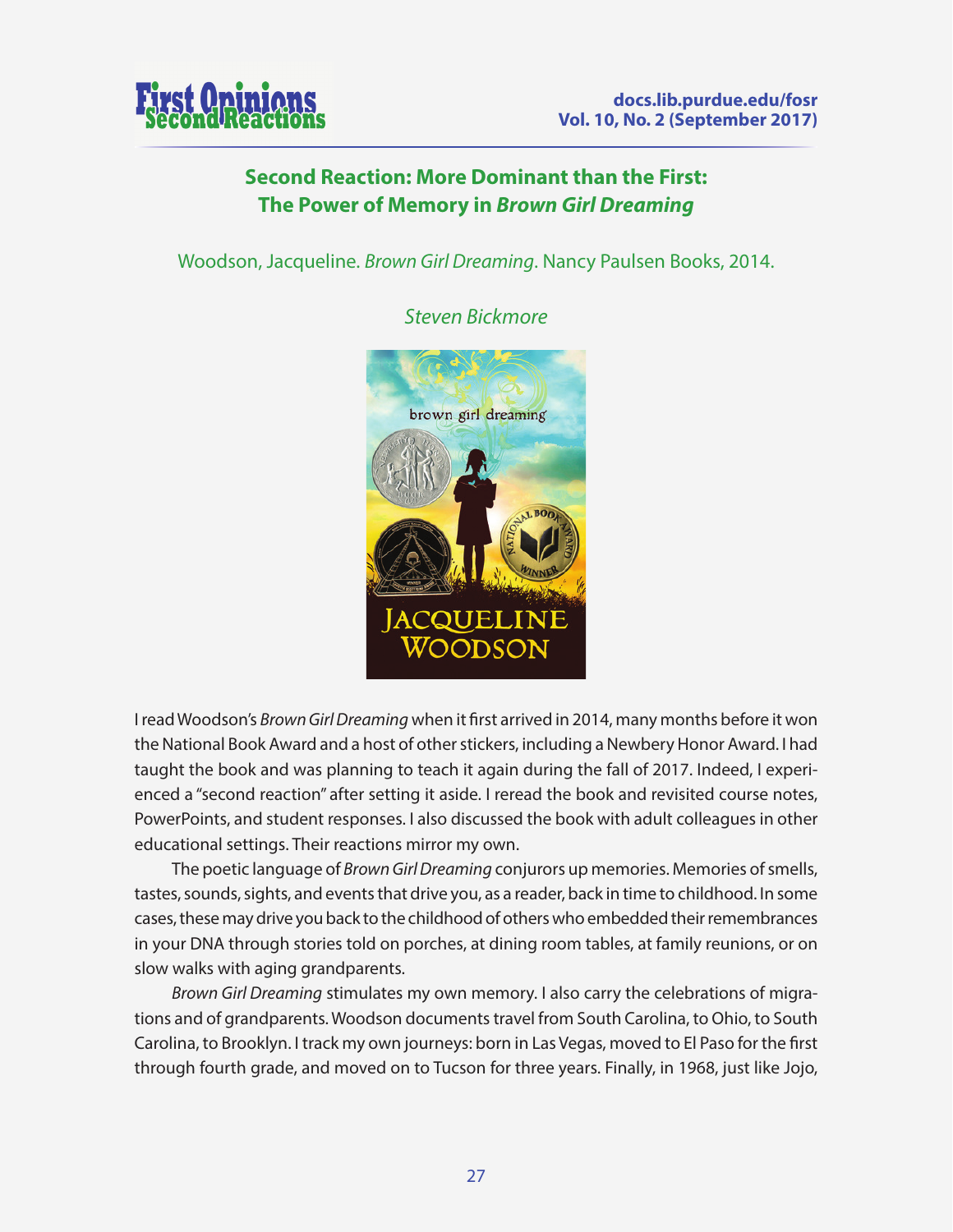

## **Second Reaction: More Dominant than the First: The Power of Memory in** *Brown Girl Dreaming*

Woodson, Jacqueline. *Brown Girl Dreaming*. Nancy Paulsen Books, 2014.



*Steven Bickmore*

I read Woodson's *Brown Girl Dreaming* when it first arrived in 2014, many months before it won the National Book Award and a host of other stickers, including a Newbery Honor Award. I had taught the book and was planning to teach it again during the fall of 2017. Indeed, I experienced a "second reaction" after setting it aside. I reread the book and revisited course notes, PowerPoints, and student responses. I also discussed the book with adult colleagues in other educational settings. Their reactions mirror my own.

The poetic language of *Brown Girl Dreaming* conjurors up memories. Memories of smells, tastes, sounds, sights, and events that drive you, as a reader, back in time to childhood. In some cases, these may drive you back to the childhood of others who embedded their remembrances in your DNA through stories told on porches, at dining room tables, at family reunions, or on slow walks with aging grandparents.

*Brown Girl Dreaming* stimulates my own memory. I also carry the celebrations of migrations and of grandparents. Woodson documents travel from South Carolina, to Ohio, to South Carolina, to Brooklyn. I track my own journeys: born in Las Vegas, moved to El Paso for the first through fourth grade, and moved on to Tucson for three years. Finally, in 1968, just like Jojo,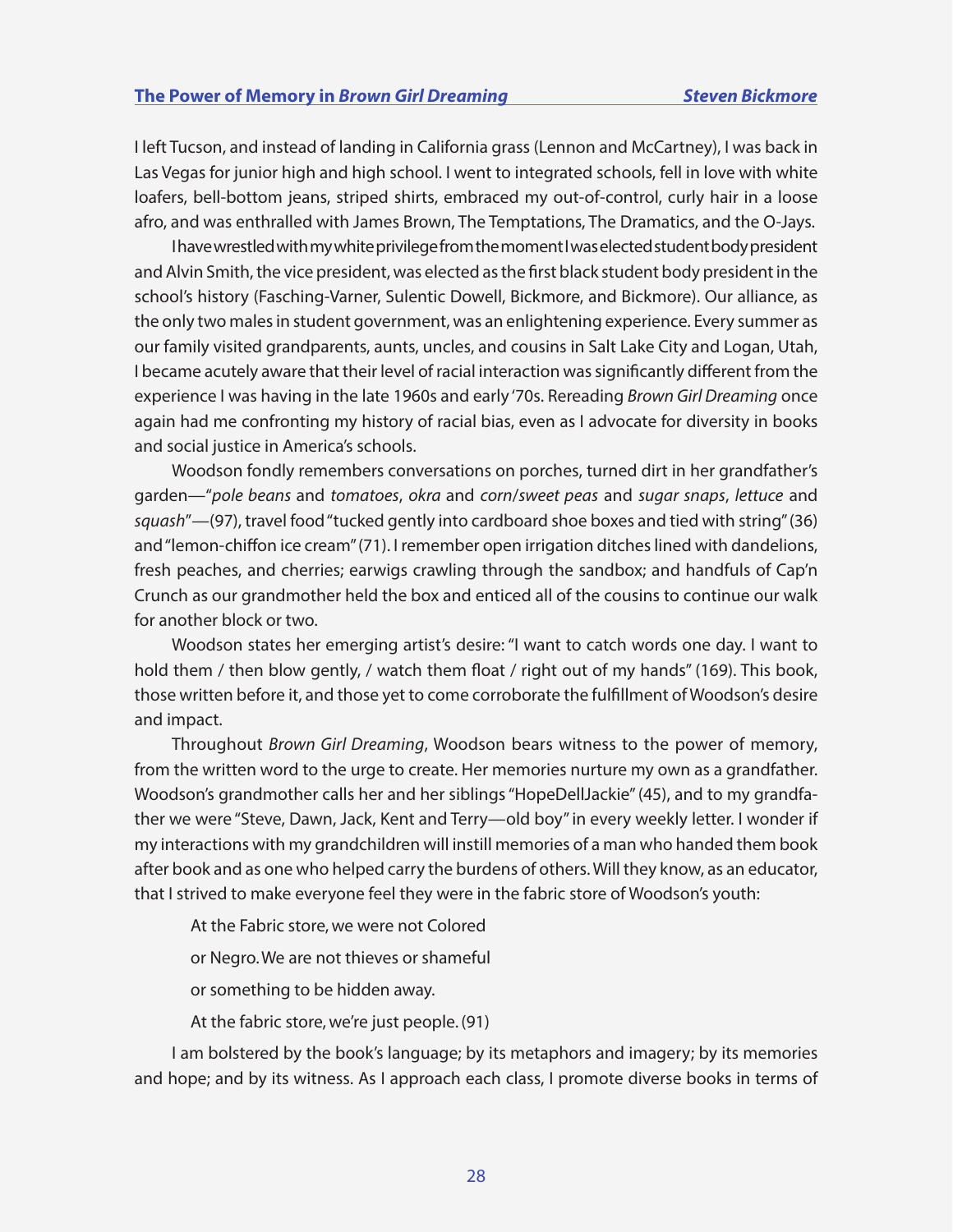I left Tucson, and instead of landing in California grass (Lennon and McCartney), I was back in Las Vegas for junior high and high school. I went to integrated schools, fell in love with white loafers, bell-bottom jeans, striped shirts, embraced my out-of-control, curly hair in a loose afro, and was enthralled with James Brown, The Temptations, The Dramatics, and the O-Jays.

I have wrestled with my white privilege from the moment I was elected student body president and Alvin Smith, the vice president, was elected as the first black student body president in the school's history (Fasching-Varner, Sulentic Dowell, Bickmore, and Bickmore). Our alliance, as the only two males in student government, was an enlightening experience. Every summer as our family visited grandparents, aunts, uncles, and cousins in Salt Lake City and Logan, Utah, I became acutely aware that their level of racial interaction was significantly different from the experience I was having in the late 1960s and early '70s. Rereading *Brown Girl Dreaming* once again had me confronting my history of racial bias, even as I advocate for diversity in books and social justice in America's schools.

Woodson fondly remembers conversations on porches, turned dirt in her grandfather's garden—"*pole beans* and *tomatoes*, *okra* and *corn*/*sweet peas* and *sugar snaps*, *lettuce* and *squash*"—(97), travel food "tucked gently into cardboard shoe boxes and tied with string" (36) and "lemon-chiffon ice cream" (71). I remember open irrigation ditches lined with dandelions, fresh peaches, and cherries; earwigs crawling through the sandbox; and handfuls of Cap'n Crunch as our grandmother held the box and enticed all of the cousins to continue our walk for another block or two.

Woodson states her emerging artist's desire: "I want to catch words one day. I want to hold them / then blow gently, / watch them float / right out of my hands" (169). This book, those written before it, and those yet to come corroborate the fulfillment of Woodson's desire and impact.

Throughout *Brown Girl Dreaming*, Woodson bears witness to the power of memory, from the written word to the urge to create. Her memories nurture my own as a grandfather. Woodson's grandmother calls her and her siblings "HopeDellJackie" (45), and to my grandfather we were "Steve, Dawn, Jack, Kent and Terry—old boy" in every weekly letter. I wonder if my interactions with my grandchildren will instill memories of a man who handed them book after book and as one who helped carry the burdens of others. Will they know, as an educator, that I strived to make everyone feel they were in the fabric store of Woodson's youth:

At the Fabric store, we were not Colored

or Negro. We are not thieves or shameful

or something to be hidden away.

At the fabric store, we're just people. (91)

I am bolstered by the book's language; by its metaphors and imagery; by its memories and hope; and by its witness. As I approach each class, I promote diverse books in terms of